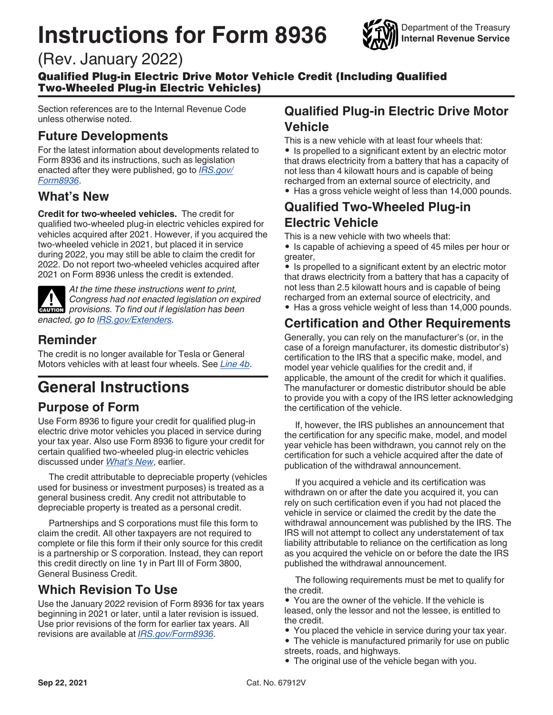# **Instructions for Form 8936**



Qualified Plug-in Electric Drive Motor Vehicle Credit (Including Qualified Two-Wheeled Plug-in Electric Vehicles)

Section references are to the Internal Revenue Code unless otherwise noted.

#### **Future Developments**

For the latest information about developments related to Form 8936 and its instructions, such as legislation enacted after they were published, go to *[IRS.gov/](https://www.irs.gov/Form8936) [Form8936](https://www.irs.gov/Form8936)*.

#### **What's New**

**Credit for two-wheeled vehicles.** The credit for qualified two-wheeled plug-in electric vehicles expired for vehicles acquired after 2021. However, if you acquired the two-wheeled vehicle in 2021, but placed it in service during 2022, you may still be able to claim the credit for 2022. Do not report two-wheeled vehicles acquired after 2021 on Form 8936 unless the credit is extended.

*At the time these instructions went to print, Congress had not enacted legislation on expired*  **Provisions.** To find out if legislation on explorer provisions. To find out if legislation has been *enacted, go to [IRS.gov/Extenders](https://www.irs.gov/extenders).*

#### **Reminder**

The credit is no longer available for Tesla or General Motors vehicles with at least four wheels. See *[Line 4b](#page-1-0)*.

## **General Instructions**

#### **Purpose of Form**

Use Form 8936 to figure your credit for qualified plug-in electric drive motor vehicles you placed in service during your tax year. Also use Form 8936 to figure your credit for certain qualified two-wheeled plug-in electric vehicles discussed under *What's New*, earlier.

The credit attributable to depreciable property (vehicles used for business or investment purposes) is treated as a general business credit. Any credit not attributable to depreciable property is treated as a personal credit.

Partnerships and S corporations must file this form to claim the credit. All other taxpayers are not required to complete or file this form if their only source for this credit is a partnership or S corporation. Instead, they can report this credit directly on line 1y in Part III of Form 3800, General Business Credit.

#### **Which Revision To Use**

Use the January 2022 revision of Form 8936 for tax years beginning in 2021 or later, until a later revision is issued. Use prior revisions of the form for earlier tax years. All revisions are available at *[IRS.gov/Form8936](https://www.irs.gov/Form8936)*.

#### **Qualified Plug-in Electric Drive Motor Vehicle**

This is a new vehicle with at least four wheels that: • Is propelled to a significant extent by an electric motor that draws electricity from a battery that has a capacity of not less than 4 kilowatt hours and is capable of being recharged from an external source of electricity, and

• Has a gross vehicle weight of less than 14,000 pounds.

#### **Qualified Two-Wheeled Plug-in Electric Vehicle**

This is a new vehicle with two wheels that:

• Is capable of achieving a speed of 45 miles per hour or greater,

• Is propelled to a significant extent by an electric motor that draws electricity from a battery that has a capacity of not less than 2.5 kilowatt hours and is capable of being recharged from an external source of electricity, and

• Has a gross vehicle weight of less than 14,000 pounds.

#### **Certification and Other Requirements**

Generally, you can rely on the manufacturer's (or, in the case of a foreign manufacturer, its domestic distributor's) certification to the IRS that a specific make, model, and model year vehicle qualifies for the credit and, if applicable, the amount of the credit for which it qualifies. The manufacturer or domestic distributor should be able to provide you with a copy of the IRS letter acknowledging the certification of the vehicle.

If, however, the IRS publishes an announcement that the certification for any specific make, model, and model year vehicle has been withdrawn, you cannot rely on the certification for such a vehicle acquired after the date of publication of the withdrawal announcement.

If you acquired a vehicle and its certification was withdrawn on or after the date you acquired it, you can rely on such certification even if you had not placed the vehicle in service or claimed the credit by the date the withdrawal announcement was published by the IRS. The IRS will not attempt to collect any understatement of tax liability attributable to reliance on the certification as long as you acquired the vehicle on or before the date the IRS published the withdrawal announcement.

The following requirements must be met to qualify for the credit.

• You are the owner of the vehicle. If the vehicle is leased, only the lessor and not the lessee, is entitled to the credit.

- You placed the vehicle in service during your tax year.
- The vehicle is manufactured primarily for use on public streets, roads, and highways.
- The original use of the vehicle began with you.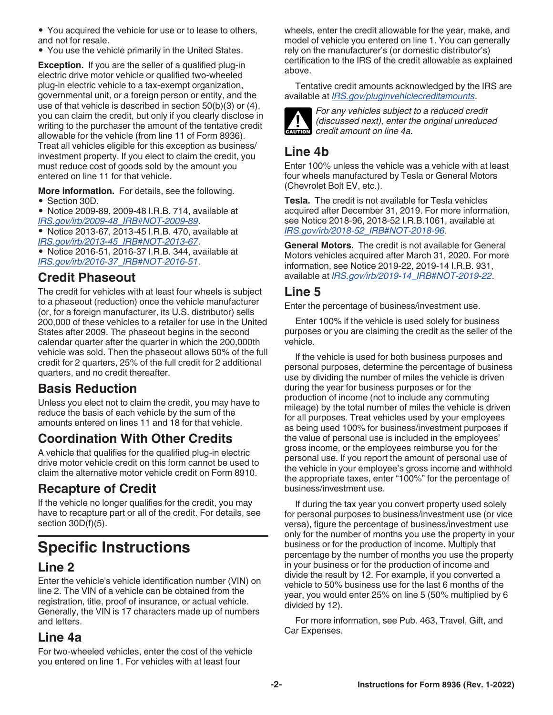<span id="page-1-0"></span>• You acquired the vehicle for use or to lease to others, and not for resale.

• You use the vehicle primarily in the United States.

**Exception.** If you are the seller of a qualified plug-in electric drive motor vehicle or qualified two-wheeled plug-in electric vehicle to a tax-exempt organization, governmental unit, or a foreign person or entity, and the use of that vehicle is described in section 50(b)(3) or (4), you can claim the credit, but only if you clearly disclose in writing to the purchaser the amount of the tentative credit allowable for the vehicle (from line 11 of Form 8936). Treat all vehicles eligible for this exception as business/ investment property. If you elect to claim the credit, you must reduce cost of goods sold by the amount you entered on line 11 for that vehicle.

**More information.** For details, see the following. • Section 30D.

• Notice 2009-89, 2009-48 I.R.B. 714, available at *[IRS.gov/irb/2009-48\\_IRB#NOT-2009-89](https://www.IRS.gov/irb/2009-48_IRB#NOT-2009-89)*.

• Notice 2013-67, 2013-45 I.R.B. 470, available at *[IRS.gov/irb/2013-45\\_IRB#NOT-2013-67](https://www.IRS.gov/irb/2013-45_IRB#NOT-2013-67)*.

• Notice 2016-51, 2016-37 I.R.B. 344, available at *[IRS.gov/irb/2016-37\\_IRB#NOT-2016-51](https://www.iRS.gov/irb/2016-37_IRB#NOT-2016-51)*.

#### **Credit Phaseout**

The credit for vehicles with at least four wheels is subject to a phaseout (reduction) once the vehicle manufacturer (or, for a foreign manufacturer, its U.S. distributor) sells 200,000 of these vehicles to a retailer for use in the United States after 2009. The phaseout begins in the second calendar quarter after the quarter in which the 200,000th vehicle was sold. Then the phaseout allows 50% of the full credit for 2 quarters, 25% of the full credit for 2 additional quarters, and no credit thereafter.

#### **Basis Reduction**

Unless you elect not to claim the credit, you may have to reduce the basis of each vehicle by the sum of the amounts entered on lines 11 and 18 for that vehicle.

#### **Coordination With Other Credits**

A vehicle that qualifies for the qualified plug-in electric drive motor vehicle credit on this form cannot be used to claim the alternative motor vehicle credit on Form 8910.

#### **Recapture of Credit**

If the vehicle no longer qualifies for the credit, you may have to recapture part or all of the credit. For details, see section 30D(f)(5).

## **Specific Instructions**

#### **Line 2**

Enter the vehicle's vehicle identification number (VIN) on line 2. The VIN of a vehicle can be obtained from the registration, title, proof of insurance, or actual vehicle. Generally, the VIN is 17 characters made up of numbers and letters.

#### **Line 4a**

For two-wheeled vehicles, enter the cost of the vehicle you entered on line 1. For vehicles with at least four

wheels, enter the credit allowable for the year, make, and model of vehicle you entered on line 1. You can generally rely on the manufacturer's (or domestic distributor's) certification to the IRS of the credit allowable as explained above.

Tentative credit amounts acknowledged by the IRS are available at *[IRS.gov/pluginvehiclecreditamounts](https://www.irs.gov/pluginvehiclecreditamounts)*.



*For any vehicles subject to a reduced credit (discussed next), enter the original unreduced*  **c** *c courter (discussed next), enter the credit amount on line 4a.* 

#### **Line 4b**

Enter 100% unless the vehicle was a vehicle with at least four wheels manufactured by Tesla or General Motors (Chevrolet Bolt EV, etc.).

**Tesla.** The credit is not available for Tesla vehicles acquired after December 31, 2019. For more information, see Notice 2018-96, 2018-52 I.R.B.1061, available at *[IRS.gov/irb/2018-52\\_IRB#NOT-2018-96](https://www.irs.gov/irb/2018-52_IRB#NOT-2018-96)*.

**General Motors.** The credit is not available for General Motors vehicles acquired after March 31, 2020. For more information, see Notice 2019-22, 2019-14 I.R.B. 931, available at *[IRS.gov/irb/2019-14\\_IRB#NOT-2019-22](https://www.irs.gov/irb/2019-14_IRB#NOT-2019-22)*.

#### **Line 5**

Enter the percentage of business/investment use.

Enter 100% if the vehicle is used solely for business purposes or you are claiming the credit as the seller of the vehicle.

If the vehicle is used for both business purposes and personal purposes, determine the percentage of business use by dividing the number of miles the vehicle is driven during the year for business purposes or for the production of income (not to include any commuting mileage) by the total number of miles the vehicle is driven for all purposes. Treat vehicles used by your employees as being used 100% for business/investment purposes if the value of personal use is included in the employees' gross income, or the employees reimburse you for the personal use. If you report the amount of personal use of the vehicle in your employee's gross income and withhold the appropriate taxes, enter "100%" for the percentage of business/investment use.

If during the tax year you convert property used solely for personal purposes to business/investment use (or vice versa), figure the percentage of business/investment use only for the number of months you use the property in your business or for the production of income. Multiply that percentage by the number of months you use the property in your business or for the production of income and divide the result by 12. For example, if you converted a vehicle to 50% business use for the last 6 months of the year, you would enter 25% on line 5 (50% multiplied by 6 divided by 12).

For more information, see Pub. 463, Travel, Gift, and Car Expenses.